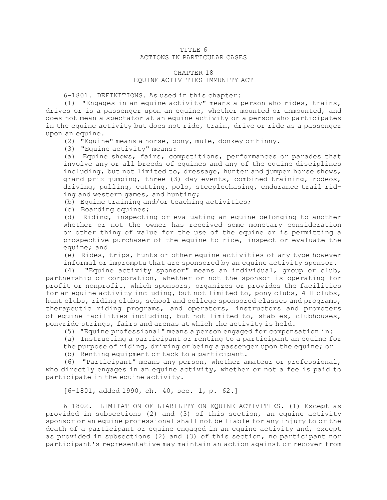## TITLE 6 ACTIONS IN PARTICULAR CASES

## CHAPTER 18 EQUINE ACTIVITIES IMMUNITY ACT

6-1801. DEFINITIONS. As used in this chapter:

(1) "Engages in an equine activity" means <sup>a</sup> person who rides, trains, drives or is <sup>a</sup> passenger upon an equine, whether mounted or unmounted, and does not mean <sup>a</sup> spectator at an equine activity or <sup>a</sup> person who participates in the equine activity but does not ride, train, drive or ride as <sup>a</sup> passenger upon an equine.

(2) "Equine" means <sup>a</sup> horse, pony, mule, donkey or hinny.

(3) "Equine activity" means:

(a) Equine shows, fairs, competitions, performances or parades that involve any or all breeds of equines and any of the equine disciplines including, but not limited to, dressage, hunter and jumper horse shows, grand prix jumping, three (3) day events, combined training, rodeos, driving, pulling, cutting, polo, steeplechasing, endurance trail riding and western games, and hunting;

(b) Equine training and/or teaching activities;

(c) Boarding equines;

(d) Riding, inspecting or evaluating an equine belonging to another whether or not the owner has received some monetary consideration or other thing of value for the use of the equine or is permitting <sup>a</sup> prospective purchaser of the equine to ride, inspect or evaluate the equine; and

(e) Rides, trips, hunts or other equine activities of any type however informal or impromptu that are sponsored by an equine activity sponsor.

(4) "Equine activity sponsor" means an individual, group or club, partnership or corporation, whether or not the sponsor is operating for profit or nonprofit, which sponsors, organizes or provides the facilities for an equine activity including, but not limited to, pony clubs, 4-H clubs, hunt clubs, riding clubs, school and college sponsored classes and programs, therapeutic riding programs, and operators, instructors and promoters of equine facilities including, but not limited to, stables, clubhouses, ponyride strings, fairs and arenas at which the activity is held.

(5) "Equine professional" means <sup>a</sup> person engaged for compensation in:

(a) Instructing <sup>a</sup> participant or renting to <sup>a</sup> participant an equine for the purpose of riding, driving or being <sup>a</sup> passenger upon the equine; or (b) Renting equipment or tack to <sup>a</sup> participant.

(6) "Participant" means any person, whether amateur or professional, who directly engages in an equine activity, whether or not <sup>a</sup> fee is paid to participate in the equine activity.

[6-1801, added 1990, ch. 40, sec. 1, p. 62.]

6-1802. LIMITATION OF LIABILITY ON EQUINE ACTIVITIES. (1) Except as provided in subsections (2) and (3) of this section, an equine activity sponsor or an equine professional shall not be liable for any injury to or the death of <sup>a</sup> participant or equine engaged in an equine activity and, except as provided in subsections (2) and (3) of this section, no participant nor participant's representative may maintain an action against or recover from